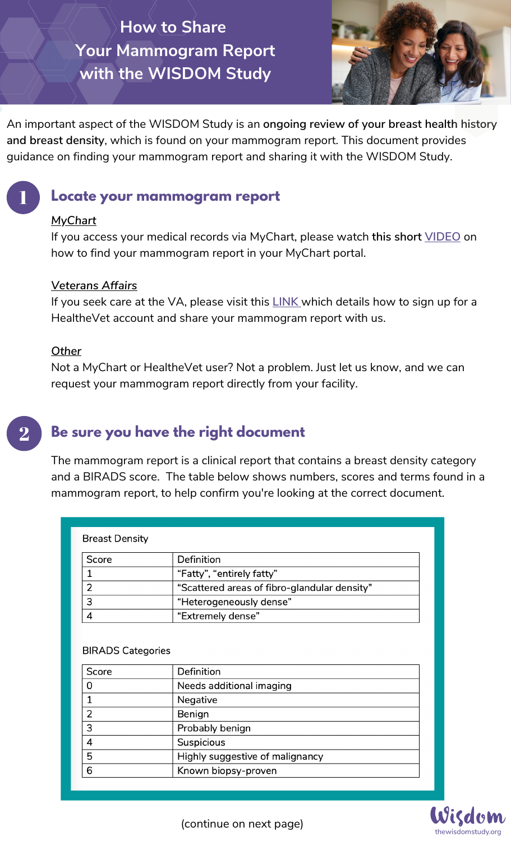# **How to Share Your Mammogram Report with the WISDOM Study**



An important aspect of the WISDOM Study is an **ongoing review of your breast health history and breast density**, which is found on your mammogram report. This document provides guidance on finding your mammogram report and sharing it with the WISDOM Study.

## **Locate your mammogram report**

### *MyChart*

1

2

If you access your medical records via MyChart, please watch **this short [VIDEO](https://www.youtube.com/watch?v=l_1kjSEPjCY)** on how to find your mammogram report in your MyChart portal.

#### *Veterans Affairs*

If you seek care at the VA, please visit this **[LINK](https://mobile.athenacarenetwork.org/static/newsletter/MyHealtheVetInstructions.pdf)** which details how to sign up for a HealtheVet account and share your mammogram report with us.

#### *Other*

Not a MyChart or HealtheVet user? Not a problem. Just let us know, and we can request your mammogram report directly from your facility.

# **Be sure you have the right document**

The mammogram report is a clinical report that contains a breast density category and a BIRADS score. The table below shows numbers, scores and terms found in a mammogram report, to help confirm you're looking at the correct document.

| <b>Breast Density</b> |                                              |
|-----------------------|----------------------------------------------|
| Score                 | Definition                                   |
|                       | "Fatty", "entirely fatty"                    |
| າ                     | "Scattered areas of fibro-glandular density" |
| 3                     | "Heterogeneously dense"                      |
|                       | "Extremely dense"                            |

#### **BIRADS Categories**

| Score          | Definition                      |
|----------------|---------------------------------|
| 0              | Needs additional imaging        |
|                | Negative                        |
| $\overline{2}$ | Benign                          |
| 3              | Probably benign                 |
| 4              | Suspicious                      |
| 5              | Highly suggestive of malignancy |
| 6              | Known biopsy-proven             |